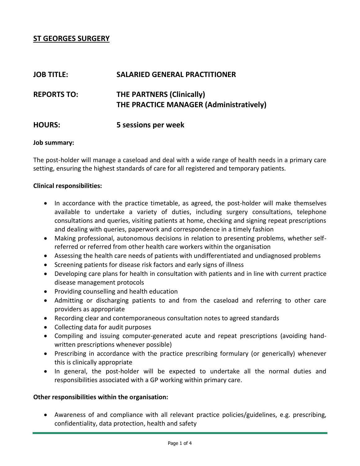# **ST GEORGES SURGERY**

| <b>JOB TITLE:</b>  | <b>SALARIED GENERAL PRACTITIONER</b>                                        |
|--------------------|-----------------------------------------------------------------------------|
| <b>REPORTS TO:</b> | <b>THE PARTNERS (Clinically)</b><br>THE PRACTICE MANAGER (Administratively) |
| <b>HOURS:</b>      | 5 sessions per week                                                         |

#### **Job summary:**

The post-holder will manage a caseload and deal with a wide range of health needs in a primary care setting, ensuring the highest standards of care for all registered and temporary patients.

#### **Clinical responsibilities:**

- In accordance with the practice timetable, as agreed, the post-holder will make themselves available to undertake a variety of duties, including surgery consultations, telephone consultations and queries, visiting patients at home, checking and signing repeat prescriptions and dealing with queries, paperwork and correspondence in a timely fashion
- Making professional, autonomous decisions in relation to presenting problems, whether selfreferred or referred from other health care workers within the organisation
- Assessing the health care needs of patients with undifferentiated and undiagnosed problems
- Screening patients for disease risk factors and early signs of illness
- Developing care plans for health in consultation with patients and in line with current practice disease management protocols
- Providing counselling and health education
- Admitting or discharging patients to and from the caseload and referring to other care providers as appropriate
- Recording clear and contemporaneous consultation notes to agreed standards
- Collecting data for audit purposes
- Compiling and issuing computer-generated acute and repeat prescriptions (avoiding handwritten prescriptions whenever possible)
- Prescribing in accordance with the practice prescribing formulary (or generically) whenever this is clinically appropriate
- In general, the post-holder will be expected to undertake all the normal duties and responsibilities associated with a GP working within primary care.

#### **Other responsibilities within the organisation:**

 Awareness of and compliance with all relevant practice policies/guidelines, e.g. prescribing, confidentiality, data protection, health and safety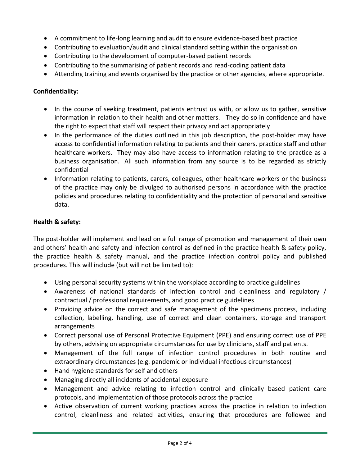- A commitment to life-long learning and audit to ensure evidence-based best practice
- Contributing to evaluation/audit and clinical standard setting within the organisation
- Contributing to the development of computer-based patient records
- Contributing to the summarising of patient records and read-coding patient data
- Attending training and events organised by the practice or other agencies, where appropriate.

### **Confidentiality:**

- In the course of seeking treatment, patients entrust us with, or allow us to gather, sensitive information in relation to their health and other matters. They do so in confidence and have the right to expect that staff will respect their privacy and act appropriately
- In the performance of the duties outlined in this job description, the post-holder may have access to confidential information relating to patients and their carers, practice staff and other healthcare workers. They may also have access to information relating to the practice as a business organisation. All such information from any source is to be regarded as strictly confidential
- Information relating to patients, carers, colleagues, other healthcare workers or the business of the practice may only be divulged to authorised persons in accordance with the practice policies and procedures relating to confidentiality and the protection of personal and sensitive data.

#### **Health & safety:**

The post-holder will implement and lead on a full range of promotion and management of their own and others' health and safety and infection control as defined in the practice health & safety policy, the practice health & safety manual, and the practice infection control policy and published procedures. This will include (but will not be limited to):

- Using personal security systems within the workplace according to practice guidelines
- Awareness of national standards of infection control and cleanliness and regulatory / contractual / professional requirements, and good practice guidelines
- Providing advice on the correct and safe management of the specimens process, including collection, labelling, handling, use of correct and clean containers, storage and transport arrangements
- Correct personal use of Personal Protective Equipment (PPE) and ensuring correct use of PPE by others, advising on appropriate circumstances for use by clinicians, staff and patients.
- Management of the full range of infection control procedures in both routine and extraordinary circumstances (e.g. pandemic or individual infectious circumstances)
- Hand hygiene standards for self and others
- Managing directly all incidents of accidental exposure
- Management and advice relating to infection control and clinically based patient care protocols, and implementation of those protocols across the practice
- Active observation of current working practices across the practice in relation to infection control, cleanliness and related activities, ensuring that procedures are followed and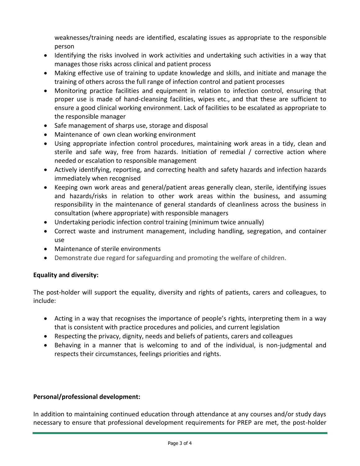weaknesses/training needs are identified, escalating issues as appropriate to the responsible person

- Identifying the risks involved in work activities and undertaking such activities in a way that manages those risks across clinical and patient process
- Making effective use of training to update knowledge and skills, and initiate and manage the training of others across the full range of infection control and patient processes
- Monitoring practice facilities and equipment in relation to infection control, ensuring that proper use is made of hand-cleansing facilities, wipes etc., and that these are sufficient to ensure a good clinical working environment. Lack of facilities to be escalated as appropriate to the responsible manager
- Safe management of sharps use, storage and disposal
- Maintenance of own clean working environment
- Using appropriate infection control procedures, maintaining work areas in a tidy, clean and sterile and safe way, free from hazards. Initiation of remedial / corrective action where needed or escalation to responsible management
- Actively identifying, reporting, and correcting health and safety hazards and infection hazards immediately when recognised
- Keeping own work areas and general/patient areas generally clean, sterile, identifying issues and hazards/risks in relation to other work areas within the business, and assuming responsibility in the maintenance of general standards of cleanliness across the business in consultation (where appropriate) with responsible managers
- Undertaking periodic infection control training (minimum twice annually)
- Correct waste and instrument management, including handling, segregation, and container use
- Maintenance of sterile environments
- Demonstrate due regard for safeguarding and promoting the welfare of children.

# **Equality and diversity:**

The post-holder will support the equality, diversity and rights of patients, carers and colleagues, to include:

- Acting in a way that recognises the importance of people's rights, interpreting them in a way that is consistent with practice procedures and policies, and current legislation
- Respecting the privacy, dignity, needs and beliefs of patients, carers and colleagues
- Behaving in a manner that is welcoming to and of the individual, is non-judgmental and respects their circumstances, feelings priorities and rights.

# **Personal/professional development:**

In addition to maintaining continued education through attendance at any courses and/or study days necessary to ensure that professional development requirements for PREP are met, the post-holder